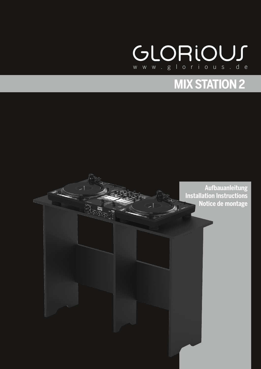

# **MIX STATION 2**



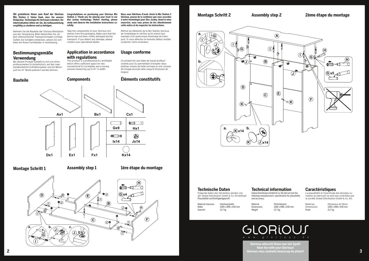**Mix Station 2. Vielen Dank, dass Sie unserer Diskjockey- Technologie Ihr Vertrauen schenken. Vor Inbetriebnahme bitten wir Sie, die Aufbauanleitung sorgfältig zu studieren und zu befolgen.**

Nehmen Sie die Bauteile der Glorious Mixstation aus der Verpackung. Bitte überprüfen Sie, ob kein offensichtlicher Transportschaden vorliegt. Sollten Sie Schäden entdecken, setzen Sie sich bitte mit Ihrem Fachhändler in Verbindung.



### **Bestimmungsgemäße Verwendung**

Wir gratulieren Ihnen zum Kauf der Glorious Congratulations on purchasing your Glorious Mix Nous vous félici<br>Mix Station 2. Vielen Dank dass Sie unserer - Station 2 Thank you for placing your trust in our - Glorious preuve **Station 2. Thank you for placing your trust in our disc jockey technology. Before starting, please study and observe the installation instructions carefully.**

Bei diesem Produkt handelt es sich um einen professionellen DJ-Arbeitstisch, auf den zwei handelsübliche DJPlattenspieler und ein Mischpult bis 14" Breite platziert werden können.

#### **Bauteile**

#### **Montage Schritt 1**



Take the components of your Glorious mix station from the packaging. Make sure that the device has not been visibly damaged during transport. If you detect any damage, please contact your specialised dealer.

> en von .<br>G nicht auf Plausibilität und Richtigkeitgeprüft:

Material massives Holzfaserplatte<br>Maße 1280 x 898 x 43 Gewicht

1280 x 898 x 430 mm<br>21.7 kg

Material Particleboard<br>Dimensions 1280 x 898 x 4 Dimensions 1280 x 898 x 430 mm<br>Weight 21.7 kg

### **Application in accordance with regulations**

This product is a professional DJ worktable which offers sufficient space for two conventional DJ turntables and a mixing console measuring up to 14" in width.

**Components**

**Assembly step 1**

**Nous vous félicitons d'avoir choisi la Mix Station 2 Glorious, preuve de la confiance que vous accordez à notre technologie pour Disc Jockey. Avant la mise enservice, nous vous prions de lire attentivement cette notice et de respecter les instructions.** Retirez les éléments de la Mix Station Glorious de l'emballage et vérifiez qu'ils soient tous exempts d'un quelconque dommage de transport. Si vous détectez le moindre défaut veuillez

contacter votre revendeur.

**Usage conforme** Ce produit est une table de travail professionnelle pour DJ permettant d'installer deux platines vinyles de taille normale et une console de mixage pouvant aller jusqu'à 14 pouces de

largeur.

### **Éléments constitutifs**

**1ère étape du montage**



**Glorious wünscht Ihnen nun viel Spaß! Have fun with your Glorious! Glorious vous souhaite beaucoup de plaisir! 3**

| <b>Technische Daten</b>               |
|---------------------------------------|
| Folgende Daten des Herstellers werde  |
| der Global Distribution GmbH & Co. K( |

#### **Technical information**

Global Distribution GmbH & Co. KG did not test the following manufacturers' specification for plausibility

 $21.7$  kg

and accuracy:

## **Caractéristiques**

La plausibilité et l'exactitude des données suivantes du fabricant ne sont pas contrôlées par la société Global Distribution GmbH & Co. KG:

Materiau Panneaux de fibres<br>Dimensions 1280 x 898 x 430 mm Dimensions 1280 x 898 x 430 mm<br>Poids 21.7 kg  $21.7$  kg